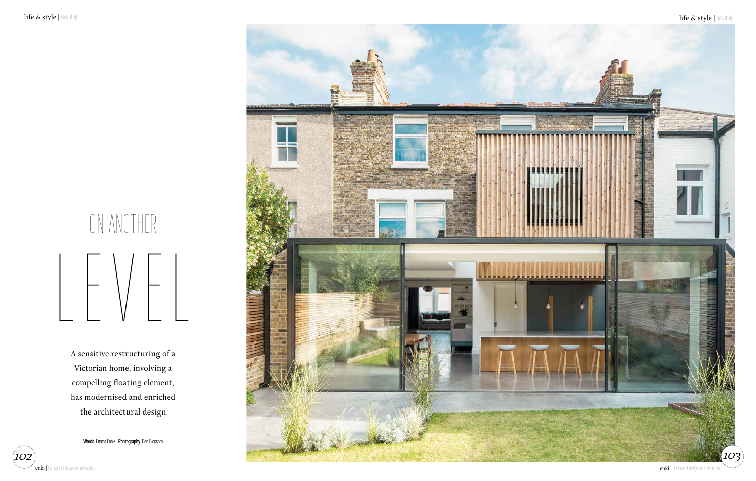

A sensitive restructuring of a Victorian home, involving a compelling floating element, has modernised and enriched the architectural design

**Words** Emma Foale **Photography** Ben Blossom



# ON ANOTHER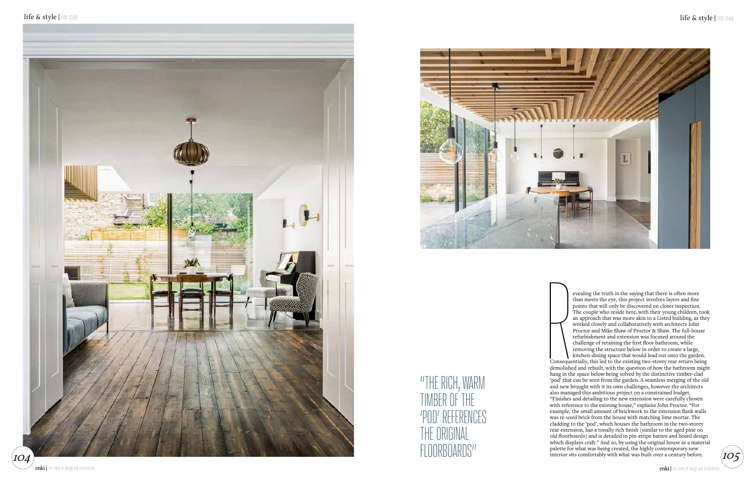

evealing the truth in the saying that there is often more than meets the eye, this project involves layers and fine points that will only be discovered on closer inspection. The couple who reside here, with their young children, took an approach that was more akin to a Listed building, as they worked closely and collaboratively with architects John Proctor and Mike Shaw of Proctor & Shaw. The full-house refurbishment and extension was focused around the challenge of retaining the first floor bathroom, while removing the structure below in order to create a large,

Conseque<br>demolishe<br>hang in th kitchen-dining space that would lead out onto the garden. Consequentially, this led to the existing two-storey rear return being demolished and rebuilt, with the question of how the bathroom might hang in the space below being solved by the distinctive timber-clad 'pod' that can be seen from the garden. A seamless merging of the old and new brought with it its own challenges, however the architects also managed this ambitious project on a constrained budget. "Finishes and detailing to the new extension were carefully chosen with reference to the existing house," explains John Proctor. "For example, the small amount of brickwork to the extension flank walls was re-used brick from the house with matching lime mortar. The cladding to the 'pod', which houses the bathroom in the two-storey rear extension, has a tonally rich finish (similar to the aged pine on old floorboards) and is detailed in pin-stripe batten and board design which displays craft." And so, by using the original house as a material palette for what was being created, the highly contemporary new interior sits comfortably with what was built over a century before.

"THE RICH, WARM TIMBER OF THE 'POD' REFERENCES THE ORIGINAL FLOORBOARDS"

enki | the home of design and architecture



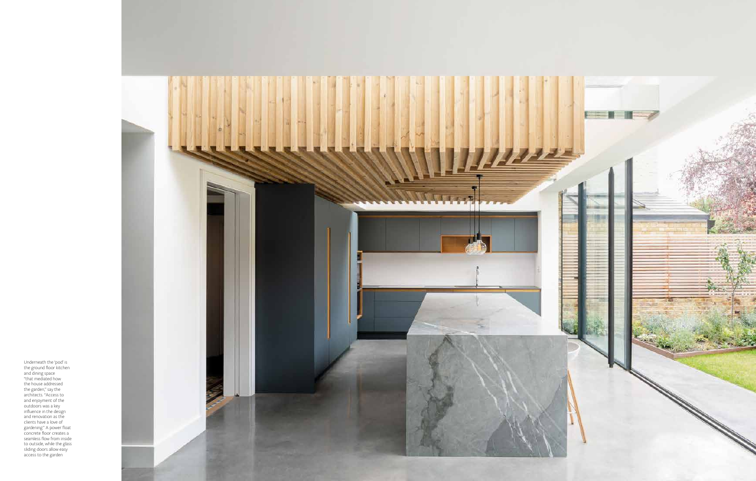

Underneath the 'pod' is the ground floor kitchen and dining space "that mediated how the house addressed the garden," say the architects. "Access to and enjoyment of the outdoors was a key influence in the design and renovation as the clients have a love of gardening." A power float concrete floor creates a seamless flow from inside to outside, while the glass sliding doors allow easy access to the garden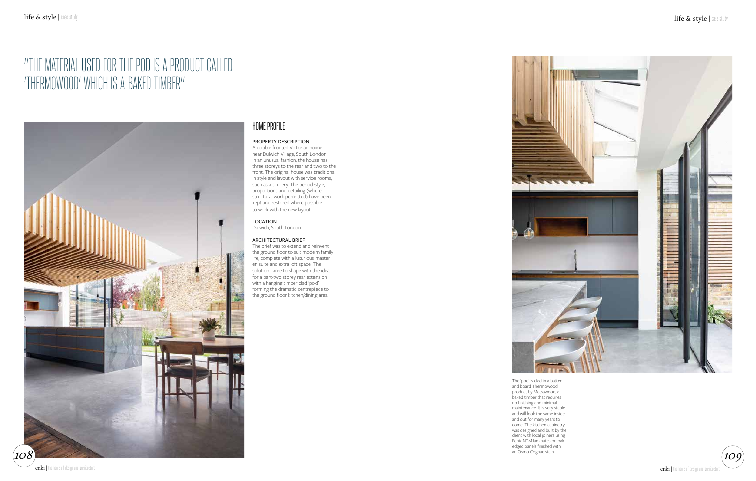### HOME PROFILE

### PROPERTY DESCRIPTION

A double-fronted Victorian home near Dulwich Village, South London. In an unusual fashion, the house has three storeys to the rear and two to the front. The original house was traditional in style and layout with service rooms, such as a scullery. The period style, proportions and detailing (where structural work permitted) have been kept and restored where possible to work with the new layout.

#### LOCATION Dulwich, South London

### ARCHITECTURAL BRIEF

The brief was to extend and reinvent the ground floor to suit modern family life, complete with a luxurious master en suite and extra loft space. The solution came to shape with the idea for a part-two storey rear extension with a hanging timber clad 'pod' forming the dramatic centrepiece to the ground floor kitchen/dining area.







# "THE MATERIAL USED FOR THE POD IS A PRODUCT CALLED 'THERMOWOOD' WHICH IS A BAKED TIMBER"

The 'pod' is clad in a batten and board Thermowood product by Metsawood, a baked timber that requires no finishing and minimal maintenance. It is very stable and will look the same inside and out for many years to come. The kitchen cabinetry was designed and built by the client with local joiners using Fenix NTM laminates on oakedged panels finished with an Osmo Cognac stain

enki | the home of design and architecture

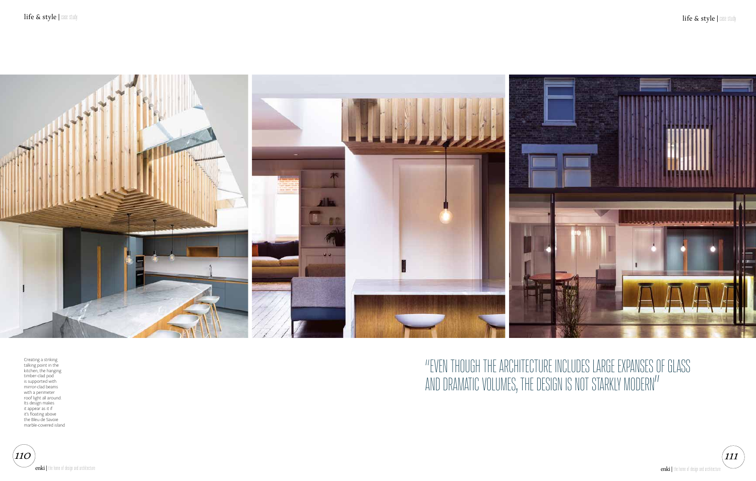# "EVEN THOUGH THE ARCHITECTURE INCLUDES LARGE EXPANSES OF GLASS

AND DRAMATIC VOLUMES, THE DESIGN IS NOT STARKLY MODERN"



Creating a striking talking point in the kitchen, the hanging timber-clad pod is supported with mirror-clad beams with a perimeter roof light all around. Its design makes it appear as it if it's floating above the Bleu de Savoie marble-covered island